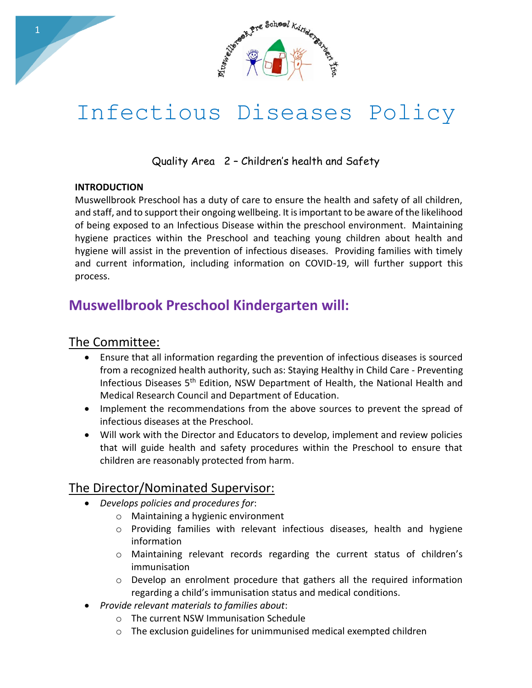

# Infectious Diseases Policy

Quality Area 2 – Children's health and Safety

#### **INTRODUCTION**

Muswellbrook Preschool has a duty of care to ensure the health and safety of all children, and staff, and to support their ongoing wellbeing. It is important to be aware of the likelihood of being exposed to an Infectious Disease within the preschool environment. Maintaining hygiene practices within the Preschool and teaching young children about health and hygiene will assist in the prevention of infectious diseases. Providing families with timely and current information, including information on COVID-19, will further support this process.

# **Muswellbrook Preschool Kindergarten will:**

### The Committee:

- Ensure that all information regarding the prevention of infectious diseases is sourced from a recognized health authority, such as: Staying Healthy in Child Care - Preventing Infectious Diseases 5th Edition, NSW Department of Health, the National Health and Medical Research Council and Department of Education.
- Implement the recommendations from the above sources to prevent the spread of infectious diseases at the Preschool.
- Will work with the Director and Educators to develop, implement and review policies that will guide health and safety procedures within the Preschool to ensure that children are reasonably protected from harm.

## The Director/Nominated Supervisor:

- *Develops policies and procedures for*:
	- o Maintaining a hygienic environment
	- o Providing families with relevant infectious diseases, health and hygiene information
	- o Maintaining relevant records regarding the current status of children's immunisation
	- $\circ$  Develop an enrolment procedure that gathers all the required information regarding a child's immunisation status and medical conditions.
- *Provide relevant materials to families about*:
	- o The current NSW Immunisation Schedule
	- o The exclusion guidelines for unimmunised medical exempted children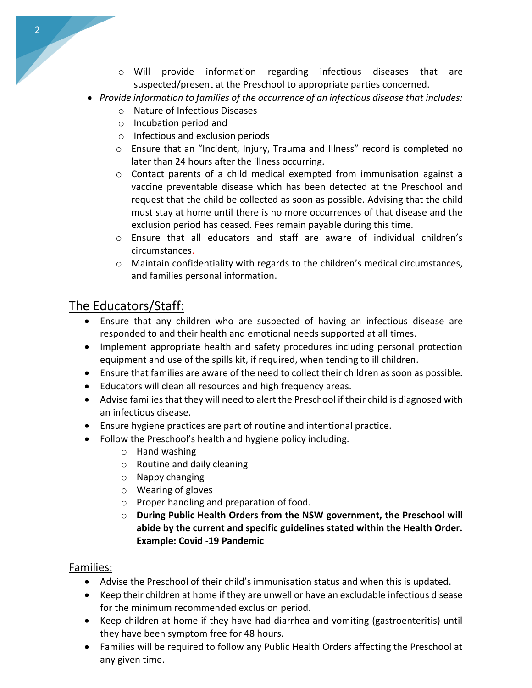- o Will provide information regarding infectious diseases that are suspected/present at the Preschool to appropriate parties concerned.
- *Provide information to families of the occurrence of an infectious disease that includes:*
	- o Nature of Infectious Diseases
	- o Incubation period and
	- o Infectious and exclusion periods
	- $\circ$  Ensure that an "Incident, Injury, Trauma and Illness" record is completed no later than 24 hours after the illness occurring.
	- $\circ$  Contact parents of a child medical exempted from immunisation against a vaccine preventable disease which has been detected at the Preschool and request that the child be collected as soon as possible. Advising that the child must stay at home until there is no more occurrences of that disease and the exclusion period has ceased. Fees remain payable during this time.
	- o Ensure that all educators and staff are aware of individual children's circumstances.
	- $\circ$  Maintain confidentiality with regards to the children's medical circumstances, and families personal information.

## The Educators/Staff:

- Ensure that any children who are suspected of having an infectious disease are responded to and their health and emotional needs supported at all times.
- Implement appropriate health and safety procedures including personal protection equipment and use of the spills kit, if required, when tending to ill children.
- Ensure that families are aware of the need to collect their children as soon as possible.
- Educators will clean all resources and high frequency areas.
- Advise families that they will need to alert the Preschool if their child is diagnosed with an infectious disease.
- Ensure hygiene practices are part of routine and intentional practice.
- Follow the Preschool's health and hygiene policy including.
	- o Hand washing
	- o Routine and daily cleaning
	- o Nappy changing
	- o Wearing of gloves
	- o Proper handling and preparation of food.
	- o **During Public Health Orders from the NSW government, the Preschool will abide by the current and specific guidelines stated within the Health Order. Example: Covid -19 Pandemic**

#### Families:

- Advise the Preschool of their child's immunisation status and when this is updated.
- Keep their children at home if they are unwell or have an excludable infectious disease for the minimum recommended exclusion period.
- Keep children at home if they have had diarrhea and vomiting (gastroenteritis) until they have been symptom free for 48 hours.
- Families will be required to follow any Public Health Orders affecting the Preschool at any given time.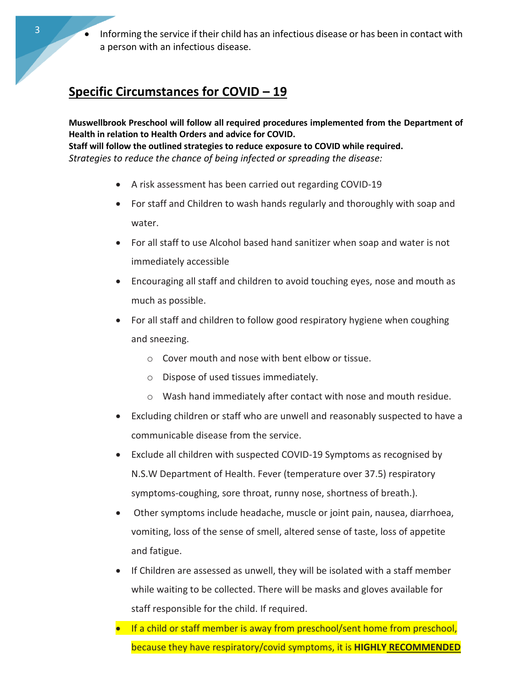# **Specific Circumstances for COVID – 19**

**Muswellbrook Preschool will follow all required procedures implemented from the Department of Health in relation to Health Orders and advice for COVID. Staff will follow the outlined strategies to reduce exposure to COVID while required.** *Strategies to reduce the chance of being infected or spreading the disease:* 

- A risk assessment has been carried out regarding COVID-19
- For staff and Children to wash hands regularly and thoroughly with soap and water.
- For all staff to use Alcohol based hand sanitizer when soap and water is not immediately accessible
- Encouraging all staff and children to avoid touching eyes, nose and mouth as much as possible.
- For all staff and children to follow good respiratory hygiene when coughing and sneezing.
	- o Cover mouth and nose with bent elbow or tissue.
	- o Dispose of used tissues immediately.
	- o Wash hand immediately after contact with nose and mouth residue.
- Excluding children or staff who are unwell and reasonably suspected to have a communicable disease from the service.
- Exclude all children with suspected COVID-19 Symptoms as recognised by N.S.W Department of Health. Fever (temperature over 37.5) respiratory symptoms-coughing, sore throat, runny nose, shortness of breath.).
- Other symptoms include headache, muscle or joint pain, nausea, diarrhoea, vomiting, loss of the sense of smell, altered sense of taste, loss of appetite and fatigue.
- If Children are assessed as unwell, they will be isolated with a staff member while waiting to be collected. There will be masks and gloves available for staff responsible for the child. If required.
- If a child or staff member is away from preschool/sent home from preschool, because they have respiratory/covid symptoms, it is **HIGHLY RECOMMENDED**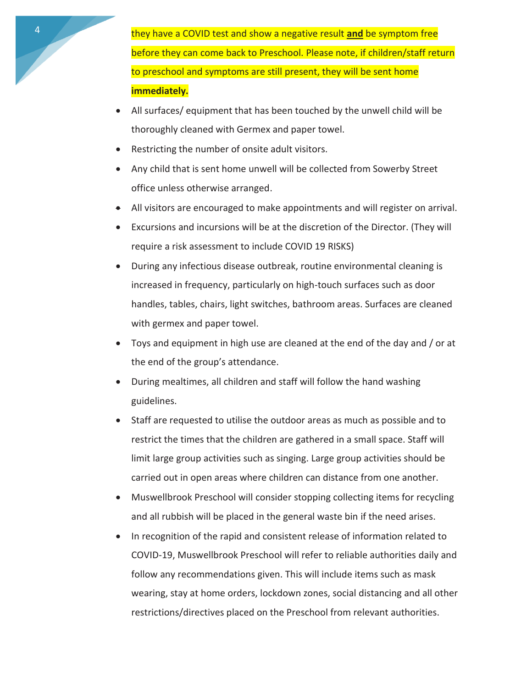4 they have a COVID test and show a negative result **and** be symptom free before they can come back to Preschool. Please note, if children/staff return to preschool and symptoms are still present, they will be sent home **immediately.**

- All surfaces/ equipment that has been touched by the unwell child will be thoroughly cleaned with Germex and paper towel.
- Restricting the number of onsite adult visitors.
- Any child that is sent home unwell will be collected from Sowerby Street office unless otherwise arranged.
- All visitors are encouraged to make appointments and will register on arrival.
- Excursions and incursions will be at the discretion of the Director. (They will require a risk assessment to include COVID 19 RISKS)
- During any infectious disease outbreak, routine environmental cleaning is increased in frequency, particularly on high-touch surfaces such as door handles, tables, chairs, light switches, bathroom areas. Surfaces are cleaned with germex and paper towel.
- Toys and equipment in high use are cleaned at the end of the day and / or at the end of the group's attendance.
- During mealtimes, all children and staff will follow the hand washing guidelines.
- Staff are requested to utilise the outdoor areas as much as possible and to restrict the times that the children are gathered in a small space. Staff will limit large group activities such as singing. Large group activities should be carried out in open areas where children can distance from one another.
- Muswellbrook Preschool will consider stopping collecting items for recycling and all rubbish will be placed in the general waste bin if the need arises.
- In recognition of the rapid and consistent release of information related to COVID-19, Muswellbrook Preschool will refer to reliable authorities daily and follow any recommendations given. This will include items such as mask wearing, stay at home orders, lockdown zones, social distancing and all other restrictions/directives placed on the Preschool from relevant authorities.